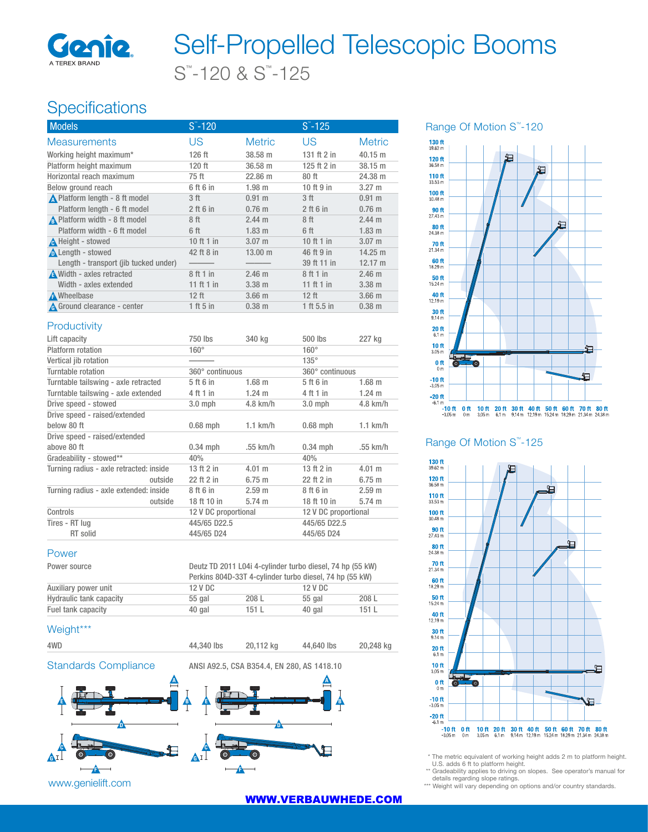

# S™ -120 & S™ -125 Self-Propelled Telescopic Booms

## Specifications

| $S - 120$       |                   | $S - 125$     |                   |
|-----------------|-------------------|---------------|-------------------|
| US              | <b>Metric</b>     | US            | <b>Metric</b>     |
| 126 ft          | 38.58 m           | 131 ft 2 in   | 40.15 m           |
| 120 ft          | 36.58 m           | 125 ft $2$ in | 38.15 m           |
| 75 ft           | 22.86 m           | 80ft          | 24.38 m           |
| 6 ft 6 in       | 1.98 m            | 10 ft 9 in    | $3.27 \; m$       |
| 3 <sub>ft</sub> | $0.91$ m          | 3 ft          | $0.91 \text{ m}$  |
| $2$ ft 6 in     | $0.76$ m          | $2$ ft 6 in   | $0.76$ m          |
| 8 ft            | $2.44 \text{ m}$  | 8 ft          | $2.44 \text{ m}$  |
| 6 ft            | $1.83 \; m$       | 6 ft          | $1.83 \; m$       |
| 10 ft 1 in      | $3.07 \; m$       | 10 ft 1 in    | $3.07$ m          |
| 42 ft 8 in      | $13.00 \;{\rm m}$ | 46 ft 9 in    | $14.25 \text{ m}$ |
|                 |                   | 39 ft 11 in   | $12.17 \text{ m}$ |
| 8 ft 1 in       | 2.46 <sub>m</sub> | 8 ft 1 in     | 2.46 m            |
| 11 ft 1 in      | $3.38$ m          | 11 ft 1 in    | $3.38$ m          |
| $12$ ft         | $3.66$ m          | $12$ ft       | $3.66$ m          |
| $1$ ft 5 in     | $0.38$ m          | 1 ft 5.5 in   | $0.38$ m          |
|                 |                   |               |                   |

#### **Productivity**

| Lift capacity                           |         | 750 lbs              | 340 kg            | 500 lbs              | 227 kg           |
|-----------------------------------------|---------|----------------------|-------------------|----------------------|------------------|
| Platform rotation                       |         | $160^\circ$          |                   | $160^\circ$          |                  |
| Vertical jib rotation                   |         |                      |                   | $135^\circ$          |                  |
| Turntable rotation                      |         | 360° continuous      |                   | 360° continuous      |                  |
| Turntable tailswing - axle retracted    |         | 5 ft 6 in            | $1.68$ m          | 5 ft 6 in            | $1.68$ m         |
| Turntable tailswing - axle extended     |         | 4 ft 1 in            | $1.24 \text{ m}$  | 4 ft 1 in            | $1.24 \text{ m}$ |
| Drive speed - stowed                    |         | $3.0$ mph            | $4.8$ km/h        | $3.0$ mph            | $4.8$ km/h       |
| Drive speed - raised/extended           |         |                      |                   |                      |                  |
| below 80 ft                             |         | $0.68$ mph           | $1.1$ km/h        | $0.68$ mph           | $1.1$ km/h       |
| Drive speed - raised/extended           |         |                      |                   |                      |                  |
| above 80 ft                             |         | $0.34$ mph           | .55 km/h          | $0.34$ mph           | .55 km/h         |
| Gradeability - stowed**                 |         | 40%                  |                   | 40%                  |                  |
| Turning radius - axle retracted: inside |         | 13 ft 2 in           | $4.01 \; m$       | 13 ft 2 in           | 4.01 m           |
|                                         | outside | 22 ft 2 in           | 6.75 m            | 22 ft 2 in           | 6.75 m           |
| Turning radius - axle extended: inside  |         | 8 ft 6 in            | 2.59 <sub>m</sub> | 8 ft 6 in            | 2.59 m           |
|                                         | outside | 18 ft 10 in          | $5.74 \text{ m}$  | 18 ft 10 in          | $5.74 \text{ m}$ |
| Controls                                |         | 12 V DC proportional |                   | 12 V DC proportional |                  |
| Tires - RT lug                          |         | 445/65 D22.5         |                   | 445/65 D22.5         |                  |
| RT solid                                |         | 445/65 D24           |                   | 445/65 D24           |                  |

#### Power

| Power source            | Deutz TD 2011 L04i 4-cylinder turbo diesel, 74 hp (55 kW)<br>Perkins 804D-33T 4-cylinder turbo diesel, 74 hp (55 kW) |       |         |       |
|-------------------------|----------------------------------------------------------------------------------------------------------------------|-------|---------|-------|
| Auxiliary power unit    | 12 V DC                                                                                                              |       | 12 V DC |       |
| Hydraulic tank capacity | 55 gal                                                                                                               | 208 L | 55 gal  | 208L  |
| Fuel tank capacity      | 40 gal                                                                                                               | 151L  | 40 gal  | 151 L |

#### Weight\*\*\*





#### Range Of Motion S<sup>™</sup>-120



#### Range Of Motion S<sup>™</sup>-125



\* The metric equivalent of working height adds 2 m to platform height. U.S. adds 6 ft to platform height.

\*\* Gradeability applies to driving on slopes. See operator's manual for

details regarding slope ratings. \*\*\* Weight will vary depending on options and/or country standards.